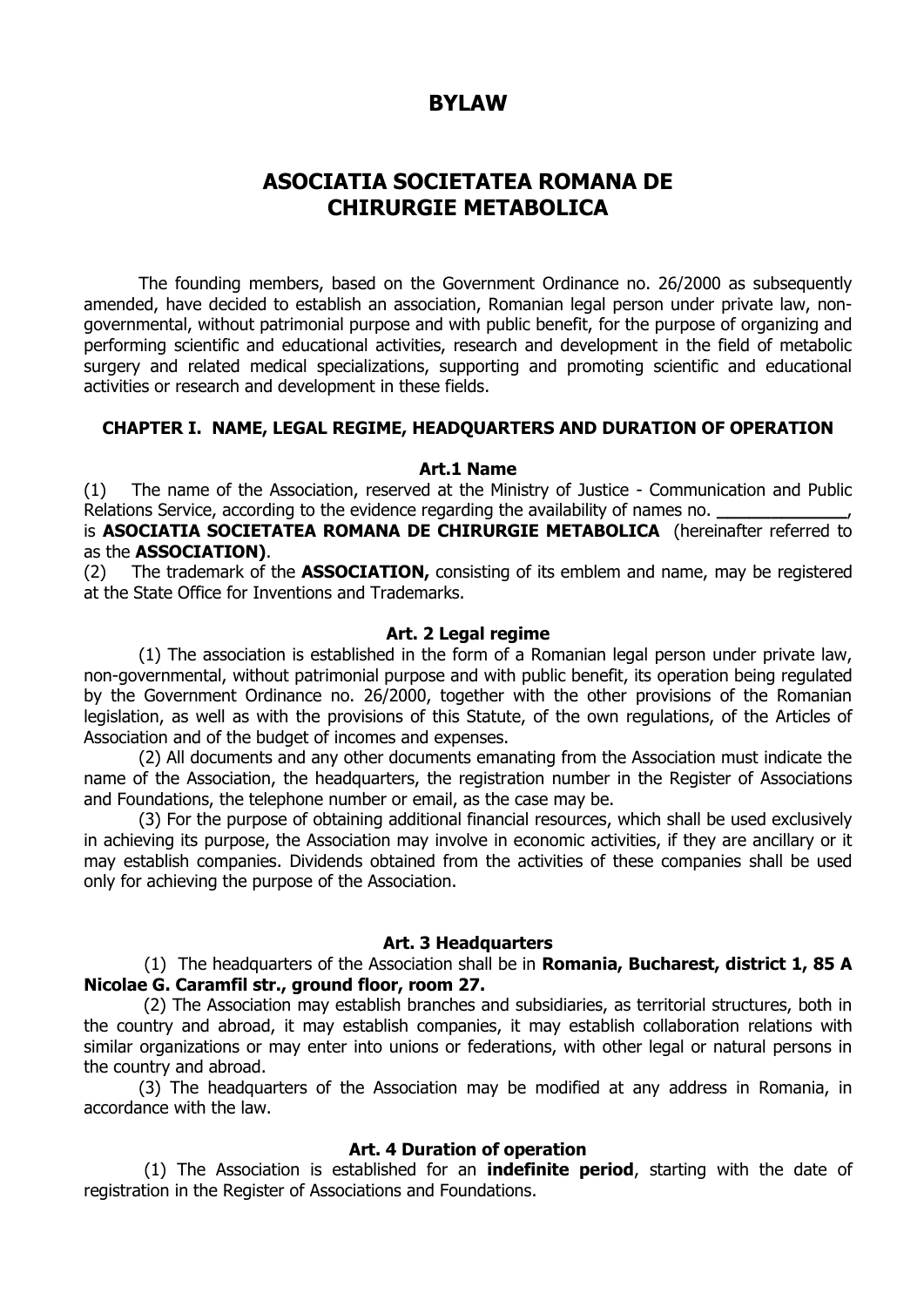# **BYLAW**

# **ASOCIATIA SOCIETATEA ROMANA DE CHIRURGIE METABOLICA**

The founding members, based on the Government Ordinance no. 26/2000 as subsequently amended, have decided to establish an association, Romanian legal person under private law, nongovernmental, without patrimonial purpose and with public benefit, for the purpose of organizing and performing scientific and educational activities, research and development in the field of metabolic surgery and related medical specializations, supporting and promoting scientific and educational activities or research and development in these fields.

#### **CHAPTER I. NAME, LEGAL REGIME, HEADQUARTERS AND DURATION OF OPERATION**

### **Art.1 Name**

(1) The name of the Association, reserved at the Ministry of Justice - Communication and Public Relations Service, according to the evidence regarding the availability of names no.

is **ASOCIATIA SOCIETATEA ROMANA DE CHIRURGIE METABOLICA** (hereinafter referred to as the **ASSOCIATION)**.

(2) The trademark of the **ASSOCIATION,** consisting of its emblem and name, may be registered at the State Office for Inventions and Trademarks.

#### **Art. 2 Legal regime**

(1) The association is established in the form of a Romanian legal person under private law, non-governmental, without patrimonial purpose and with public benefit, its operation being regulated by the Government Ordinance no. 26/2000, together with the other provisions of the Romanian legislation, as well as with the provisions of this Statute, of the own regulations, of the Articles of Association and of the budget of incomes and expenses.

(2) All documents and any other documents emanating from the Association must indicate the name of the Association, the headquarters, the registration number in the Register of Associations and Foundations, the telephone number or email, as the case may be.

(3) For the purpose of obtaining additional financial resources, which shall be used exclusively in achieving its purpose, the Association may involve in economic activities, if they are ancillary or it may establish companies. Dividends obtained from the activities of these companies shall be used only for achieving the purpose of the Association.

#### **Art. 3 Headquarters**

(1) The headquarters of the Association shall be in **Romania, Bucharest, district 1, 85 A Nicolae G. Caramfil str., ground floor, room 27.**

(2) The Association may establish branches and subsidiaries, as territorial structures, both in the country and abroad, it may establish companies, it may establish collaboration relations with similar organizations or may enter into unions or federations, with other legal or natural persons in the country and abroad.

(3) The headquarters of the Association may be modified at any address in Romania, in accordance with the law.

# **Art. 4 Duration of operation**

(1) The Association is established for an **indefinite period**, starting with the date of registration in the Register of Associations and Foundations.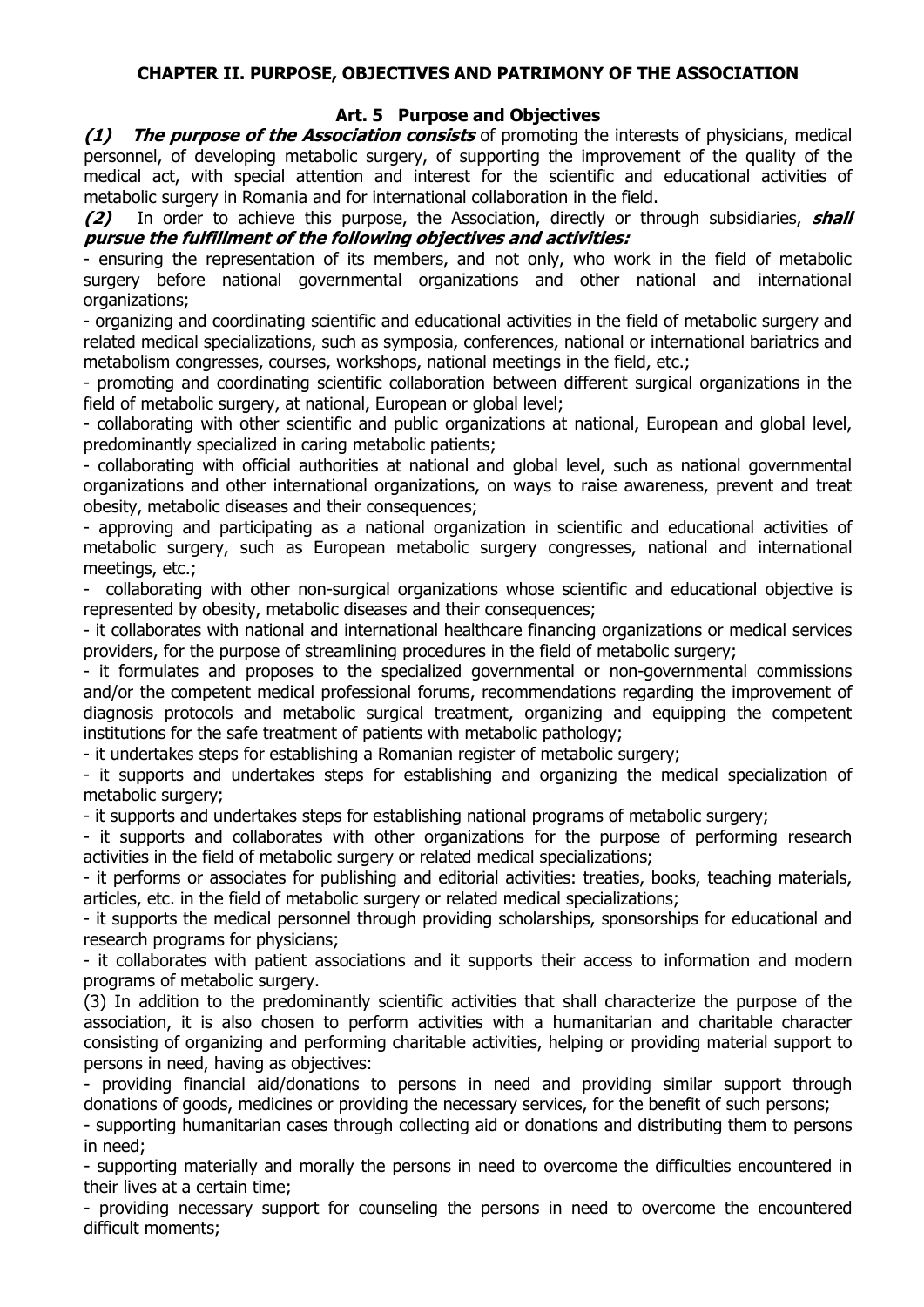# **CHAPTER II. PURPOSE, OBJECTIVES AND PATRIMONY OF THE ASSOCIATION**

# **Art. 5 Purpose and Objectives**

**(1) The purpose of the Association consists** of promoting the interests of physicians, medical personnel, of developing metabolic surgery, of supporting the improvement of the quality of the medical act, with special attention and interest for the scientific and educational activities of metabolic surgery in Romania and for international collaboration in the field.

**(2)** In order to achieve this purpose, the Association, directly or through subsidiaries, **shall pursue the fulfillment of the following objectives and activities:**

- ensuring the representation of its members, and not only, who work in the field of metabolic surgery before national governmental organizations and other national and international organizations;

- organizing and coordinating scientific and educational activities in the field of metabolic surgery and related medical specializations, such as symposia, conferences, national or international bariatrics and metabolism congresses, courses, workshops, national meetings in the field, etc.;

- promoting and coordinating scientific collaboration between different surgical organizations in the field of metabolic surgery, at national, European or global level;

- collaborating with other scientific and public organizations at national, European and global level, predominantly specialized in caring metabolic patients;

- collaborating with official authorities at national and global level, such as national governmental organizations and other international organizations, on ways to raise awareness, prevent and treat obesity, metabolic diseases and their consequences;

- approving and participating as a national organization in scientific and educational activities of metabolic surgery, such as European metabolic surgery congresses, national and international meetings, etc.;

- collaborating with other non-surgical organizations whose scientific and educational objective is represented by obesity, metabolic diseases and their consequences;

- it collaborates with national and international healthcare financing organizations or medical services providers, for the purpose of streamlining procedures in the field of metabolic surgery;

- it formulates and proposes to the specialized governmental or non-governmental commissions and/or the competent medical professional forums, recommendations regarding the improvement of diagnosis protocols and metabolic surgical treatment, organizing and equipping the competent institutions for the safe treatment of patients with metabolic pathology;

- it undertakes steps for establishing a Romanian register of metabolic surgery;

- it supports and undertakes steps for establishing and organizing the medical specialization of metabolic surgery;

- it supports and undertakes steps for establishing national programs of metabolic surgery;

- it supports and collaborates with other organizations for the purpose of performing research activities in the field of metabolic surgery or related medical specializations;

- it performs or associates for publishing and editorial activities: treaties, books, teaching materials, articles, etc. in the field of metabolic surgery or related medical specializations;

- it supports the medical personnel through providing scholarships, sponsorships for educational and research programs for physicians;

- it collaborates with patient associations and it supports their access to information and modern programs of metabolic surgery.

(3) In addition to the predominantly scientific activities that shall characterize the purpose of the association, it is also chosen to perform activities with a humanitarian and charitable character consisting of organizing and performing charitable activities, helping or providing material support to persons in need, having as objectives:

- providing financial aid/donations to persons in need and providing similar support through donations of goods, medicines or providing the necessary services, for the benefit of such persons;

- supporting humanitarian cases through collecting aid or donations and distributing them to persons in need;

- supporting materially and morally the persons in need to overcome the difficulties encountered in their lives at a certain time;

- providing necessary support for counseling the persons in need to overcome the encountered difficult moments;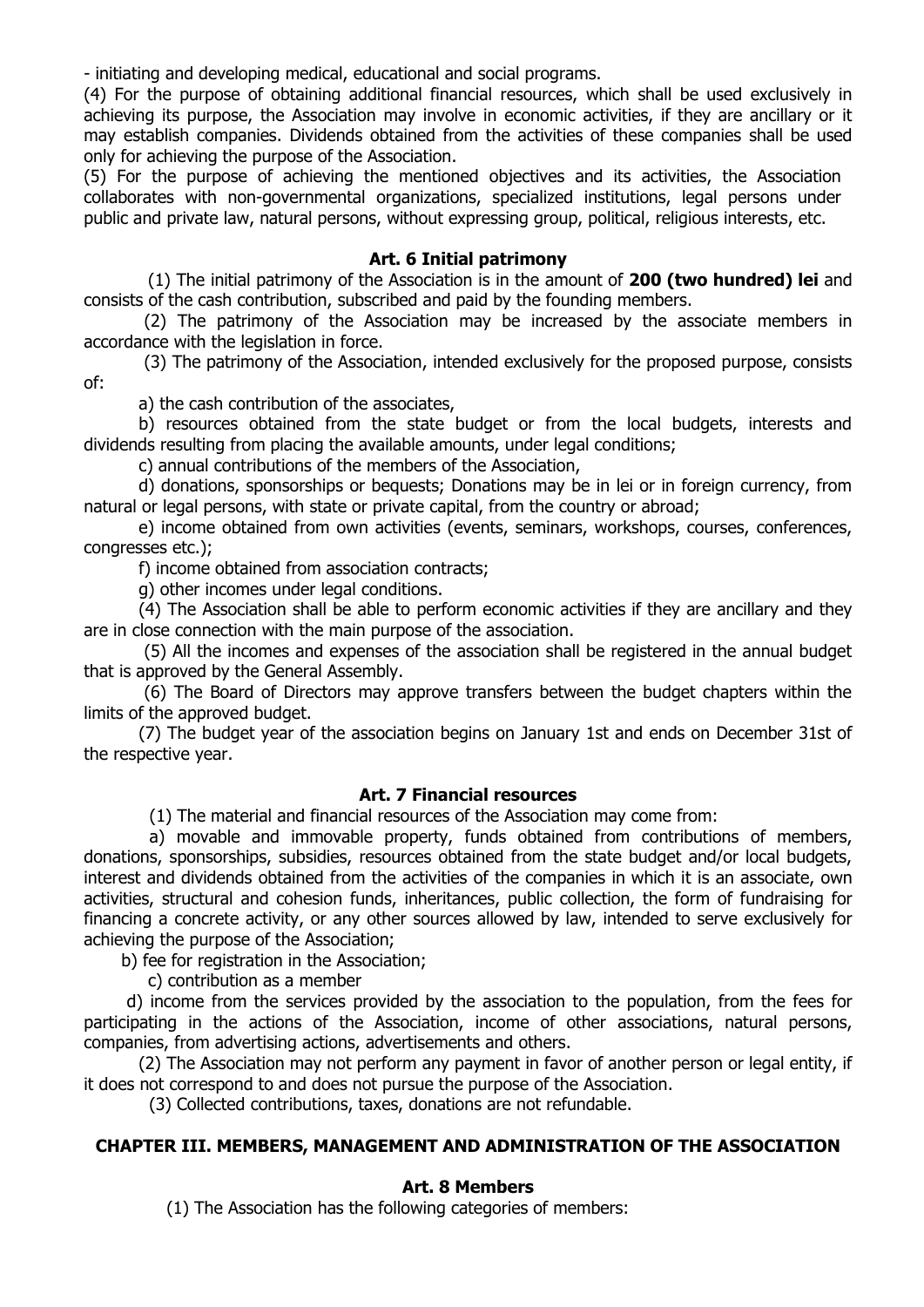- initiating and developing medical, educational and social programs.

(4) For the purpose of obtaining additional financial resources, which shall be used exclusively in achieving its purpose, the Association may involve in economic activities, if they are ancillary or it may establish companies. Dividends obtained from the activities of these companies shall be used only for achieving the purpose of the Association.

(5) For the purpose of achieving the mentioned objectives and its activities, the Association collaborates with non-governmental organizations, specialized institutions, legal persons under public and private law, natural persons, without expressing group, political, religious interests, etc.

### **Art. 6 Initial patrimony**

 (1) The initial patrimony of the Association is in the amount of **200 (two hundred) lei** and consists of the cash contribution, subscribed and paid by the founding members.

(2) The patrimony of the Association may be increased by the associate members in accordance with the legislation in force.

(3) The patrimony of the Association, intended exclusively for the proposed purpose, consists of:

a) the cash contribution of the associates,

b) resources obtained from the state budget or from the local budgets, interests and dividends resulting from placing the available amounts, under legal conditions;

c) annual contributions of the members of the Association,

d) donations, sponsorships or bequests; Donations may be in lei or in foreign currency, from natural or legal persons, with state or private capital, from the country or abroad;

e) income obtained from own activities (events, seminars, workshops, courses, conferences, congresses etc.);

f) income obtained from association contracts;

g) other incomes under legal conditions.

(4) The Association shall be able to perform economic activities if they are ancillary and they are in close connection with the main purpose of the association.

(5) All the incomes and expenses of the association shall be registered in the annual budget that is approved by the General Assembly.

(6) The Board of Directors may approve transfers between the budget chapters within the limits of the approved budget.

(7) The budget year of the association begins on January 1st and ends on December 31st of the respective year.

### **Art. 7 Financial resources**

(1) The material and financial resources of the Association may come from:

 a) movable and immovable property, funds obtained from contributions of members, donations, sponsorships, subsidies, resources obtained from the state budget and/or local budgets, interest and dividends obtained from the activities of the companies in which it is an associate, own activities, structural and cohesion funds, inheritances, public collection, the form of fundraising for financing a concrete activity, or any other sources allowed by law, intended to serve exclusively for achieving the purpose of the Association;

b) fee for registration in the Association;

c) contribution as a member

 d) income from the services provided by the association to the population, from the fees for participating in the actions of the Association, income of other associations, natural persons, companies, from advertising actions, advertisements and others.

(2) The Association may not perform any payment in favor of another person or legal entity, if it does not correspond to and does not pursue the purpose of the Association.

(3) Collected contributions, taxes, donations are not refundable.

#### **CHAPTER III. MEMBERS, MANAGEMENT AND ADMINISTRATION OF THE ASSOCIATION**

#### **Art. 8 Members**

(1) The Association has the following categories of members: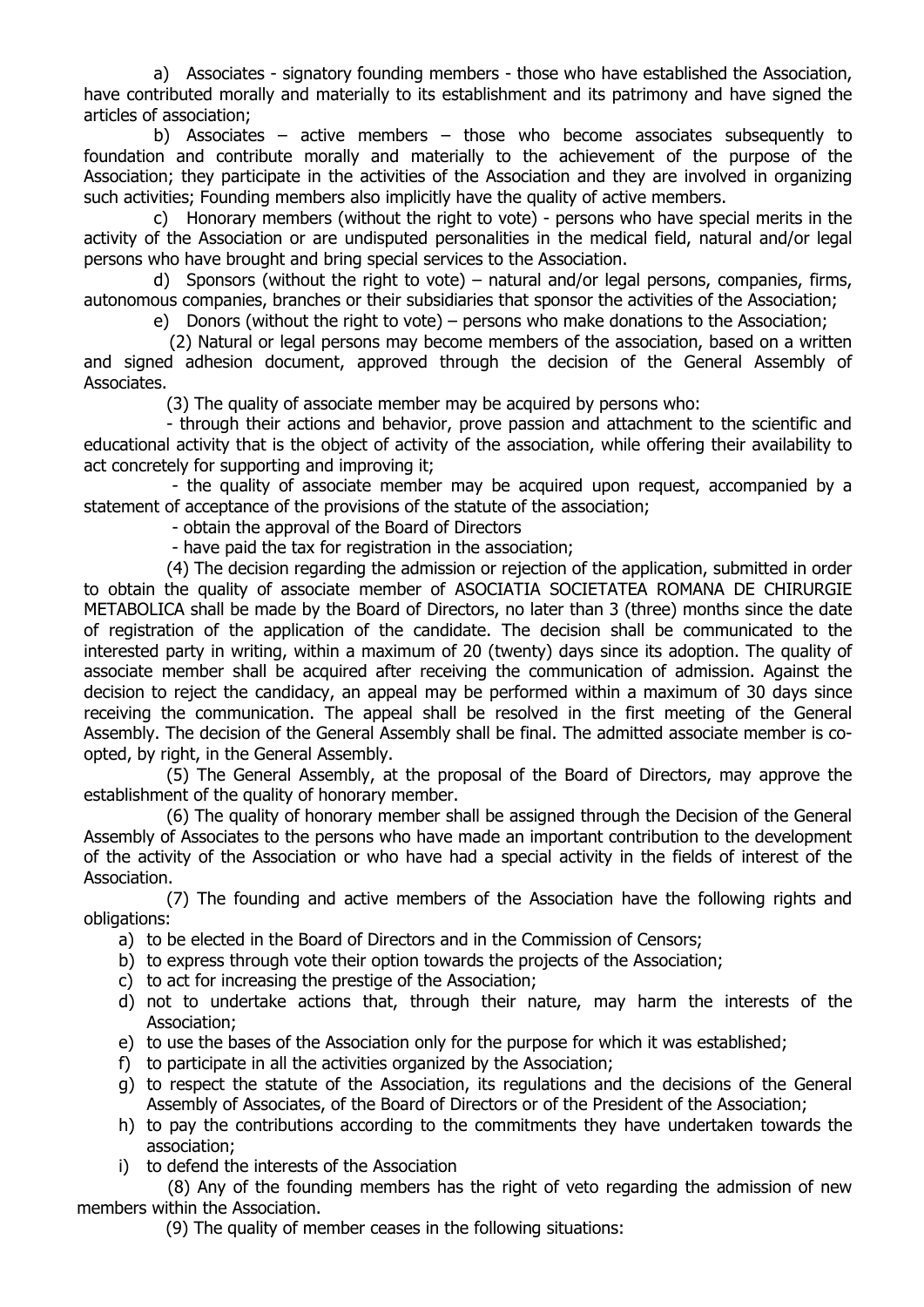a) Associates - signatory founding members - those who have established the Association, have contributed morally and materially to its establishment and its patrimony and have signed the articles of association;

b) Associates – active members – those who become associates subsequently to foundation and contribute morally and materially to the achievement of the purpose of the Association; they participate in the activities of the Association and they are involved in organizing such activities; Founding members also implicitly have the quality of active members.

c) Honorary members (without the right to vote) - persons who have special merits in the activity of the Association or are undisputed personalities in the medical field, natural and/or legal persons who have brought and bring special services to the Association.

d) Sponsors (without the right to vote) – natural and/or legal persons, companies, firms, autonomous companies, branches or their subsidiaries that sponsor the activities of the Association;

e) Donors (without the right to vote) – persons who make donations to the Association;

 (2) Natural or legal persons may become members of the association, based on a written and signed adhesion document, approved through the decision of the General Assembly of Associates.

(3) The quality of associate member may be acquired by persons who:

- through their actions and behavior, prove passion and attachment to the scientific and educational activity that is the object of activity of the association, while offering their availability to act concretely for supporting and improving it;

- the quality of associate member may be acquired upon request, accompanied by a statement of acceptance of the provisions of the statute of the association;

- obtain the approval of the Board of Directors

- have paid the tax for registration in the association;

(4) The decision regarding the admission or rejection of the application, submitted in order to obtain the quality of associate member of ASOCIATIA SOCIETATEA ROMANA DE CHIRURGIE METABOLICA shall be made by the Board of Directors, no later than 3 (three) months since the date of registration of the application of the candidate. The decision shall be communicated to the interested party in writing, within a maximum of 20 (twenty) days since its adoption. The quality of associate member shall be acquired after receiving the communication of admission. Against the decision to reject the candidacy, an appeal may be performed within a maximum of 30 days since receiving the communication. The appeal shall be resolved in the first meeting of the General Assembly. The decision of the General Assembly shall be final. The admitted associate member is coopted, by right, in the General Assembly.

(5) The General Assembly, at the proposal of the Board of Directors, may approve the establishment of the quality of honorary member.

(6) The quality of honorary member shall be assigned through the Decision of the General Assembly of Associates to the persons who have made an important contribution to the development of the activity of the Association or who have had a special activity in the fields of interest of the Association.

(7) The founding and active members of the Association have the following rights and obligations:

- a) to be elected in the Board of Directors and in the Commission of Censors;
- b) to express through vote their option towards the projects of the Association;
- c) to act for increasing the prestige of the Association;
- d) not to undertake actions that, through their nature, may harm the interests of the Association;
- e) to use the bases of the Association only for the purpose for which it was established;
- f) to participate in all the activities organized by the Association;
- g) to respect the statute of the Association, its regulations and the decisions of the General Assembly of Associates, of the Board of Directors or of the President of the Association;
- h) to pay the contributions according to the commitments they have undertaken towards the association;
- i) to defend the interests of the Association

(8) Any of the founding members has the right of veto regarding the admission of new members within the Association.

(9) The quality of member ceases in the following situations: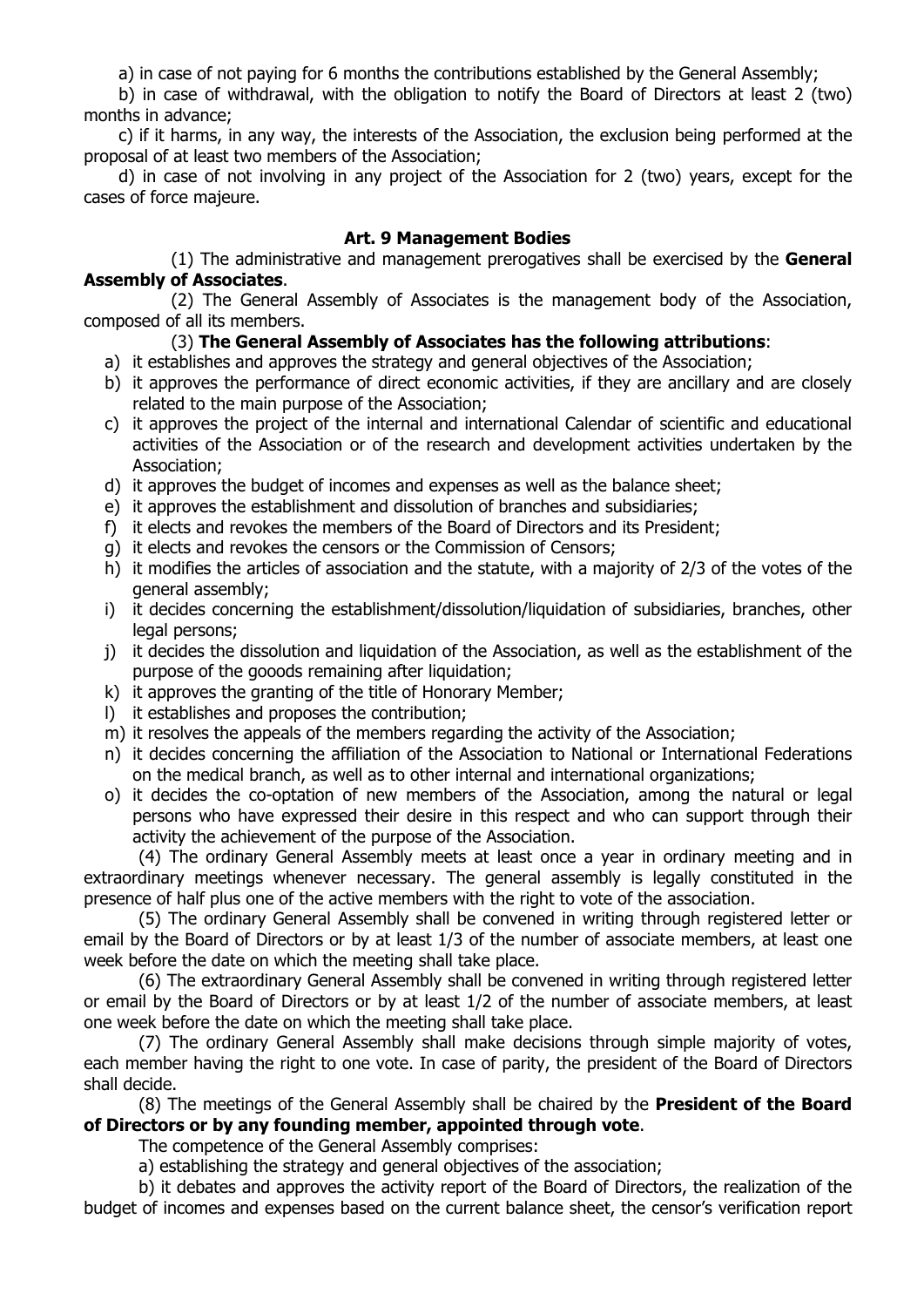a) in case of not paying for 6 months the contributions established by the General Assembly;

b) in case of withdrawal, with the obligation to notify the Board of Directors at least 2 (two) months in advance;

c) if it harms, in any way, the interests of the Association, the exclusion being performed at the proposal of at least two members of the Association;

d) in case of not involving in any project of the Association for 2 (two) years, except for the cases of force majeure.

# **Art. 9 Management Bodies**

(1) The administrative and management prerogatives shall be exercised by the **General Assembly of Associates**.

(2) The General Assembly of Associates is the management body of the Association, composed of all its members.

# (3) **The General Assembly of Associates has the following attributions**:

- a) it establishes and approves the strategy and general objectives of the Association;
- b) it approves the performance of direct economic activities, if they are ancillary and are closely related to the main purpose of the Association;
- c) it approves the project of the internal and international Calendar of scientific and educational activities of the Association or of the research and development activities undertaken by the Association;
- d) it approves the budget of incomes and expenses as well as the balance sheet;
- e) it approves the establishment and dissolution of branches and subsidiaries;
- f) it elects and revokes the members of the Board of Directors and its President;
- g) it elects and revokes the censors or the Commission of Censors;
- h) it modifies the articles of association and the statute, with a majority of 2/3 of the votes of the general assembly;
- i) it decides concerning the establishment/dissolution/liquidation of subsidiaries, branches, other legal persons;
- j) it decides the dissolution and liquidation of the Association, as well as the establishment of the purpose of the gooods remaining after liquidation;
- k) it approves the granting of the title of Honorary Member;
- l) it establishes and proposes the contribution;
- m) it resolves the appeals of the members regarding the activity of the Association;
- n) it decides concerning the affiliation of the Association to National or International Federations on the medical branch, as well as to other internal and international organizations;
- o) it decides the co-optation of new members of the Association, among the natural or legal persons who have expressed their desire in this respect and who can support through their activity the achievement of the purpose of the Association.

(4) The ordinary General Assembly meets at least once a year in ordinary meeting and in extraordinary meetings whenever necessary. The general assembly is legally constituted in the presence of half plus one of the active members with the right to vote of the association.

(5) The ordinary General Assembly shall be convened in writing through registered letter or email by the Board of Directors or by at least 1/3 of the number of associate members, at least one week before the date on which the meeting shall take place.

(6) The extraordinary General Assembly shall be convened in writing through registered letter or email by the Board of Directors or by at least 1/2 of the number of associate members, at least one week before the date on which the meeting shall take place.

(7) The ordinary General Assembly shall make decisions through simple majority of votes, each member having the right to one vote. In case of parity, the president of the Board of Directors shall decide.

(8) The meetings of the General Assembly shall be chaired by the **President of the Board of Directors or by any founding member, appointed through vote**.

The competence of the General Assembly comprises:

a) establishing the strategy and general objectives of the association;

b) it debates and approves the activity report of the Board of Directors, the realization of the budget of incomes and expenses based on the current balance sheet, the censor's verification report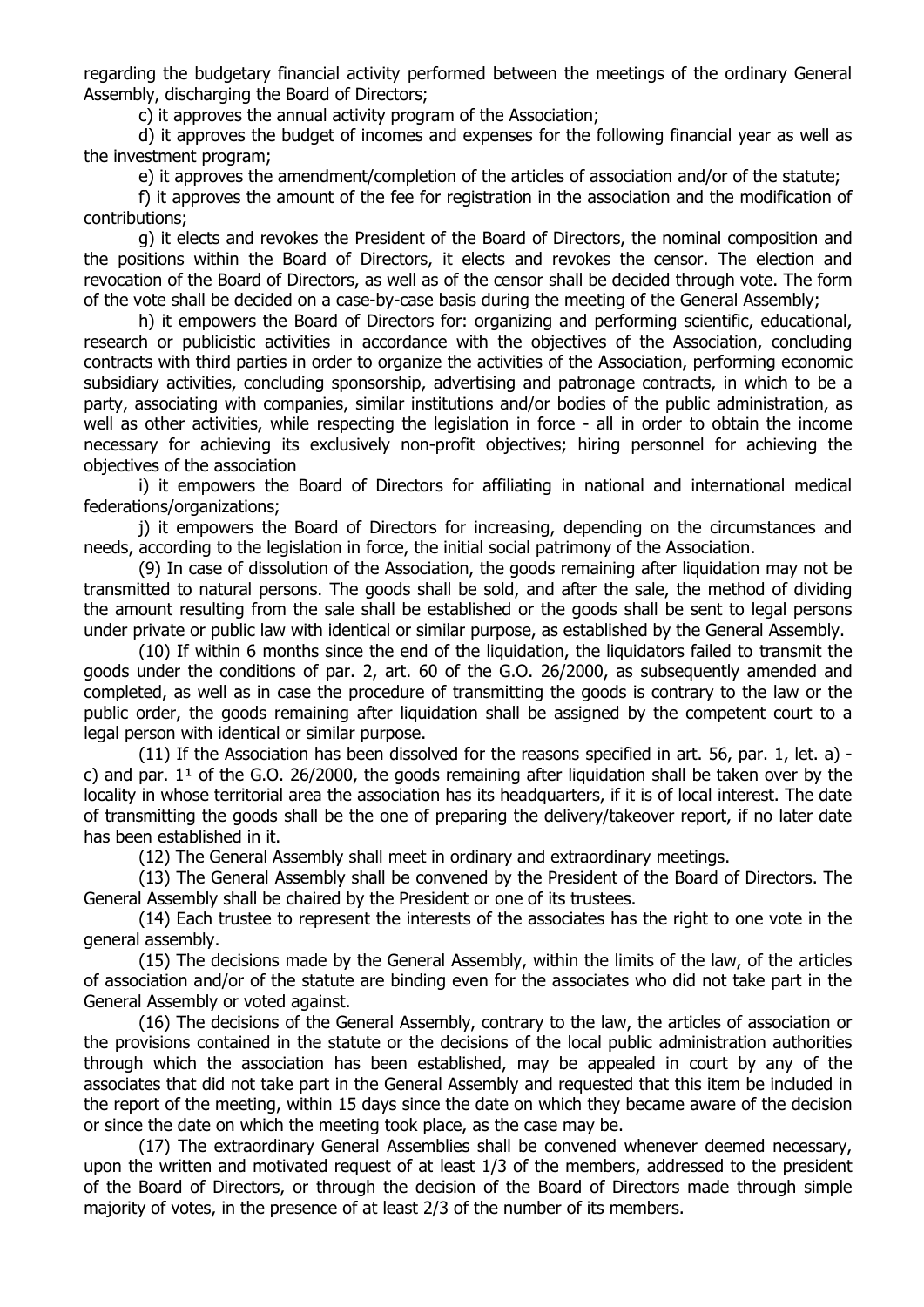regarding the budgetary financial activity performed between the meetings of the ordinary General Assembly, discharging the Board of Directors;

c) it approves the annual activity program of the Association;

d) it approves the budget of incomes and expenses for the following financial year as well as the investment program;

e) it approves the amendment/completion of the articles of association and/or of the statute;

f) it approves the amount of the fee for registration in the association and the modification of contributions;

g) it elects and revokes the President of the Board of Directors, the nominal composition and the positions within the Board of Directors, it elects and revokes the censor. The election and revocation of the Board of Directors, as well as of the censor shall be decided through vote. The form of the vote shall be decided on a case-by-case basis during the meeting of the General Assembly;

h) it empowers the Board of Directors for: organizing and performing scientific, educational, research or publicistic activities in accordance with the objectives of the Association, concluding contracts with third parties in order to organize the activities of the Association, performing economic subsidiary activities, concluding sponsorship, advertising and patronage contracts, in which to be a party, associating with companies, similar institutions and/or bodies of the public administration, as well as other activities, while respecting the legislation in force - all in order to obtain the income necessary for achieving its exclusively non-profit objectives; hiring personnel for achieving the objectives of the association

i) it empowers the Board of Directors for affiliating in national and international medical federations/organizations;

j) it empowers the Board of Directors for increasing, depending on the circumstances and needs, according to the legislation in force, the initial social patrimony of the Association.

(9) In case of dissolution of the Association, the goods remaining after liquidation may not be transmitted to natural persons. The goods shall be sold, and after the sale, the method of dividing the amount resulting from the sale shall be established or the goods shall be sent to legal persons under private or public law with identical or similar purpose, as established by the General Assembly.

(10) If within 6 months since the end of the liquidation, the liquidators failed to transmit the goods under the conditions of par. 2, art. 60 of the G.O. 26/2000, as subsequently amended and completed, as well as in case the procedure of transmitting the goods is contrary to the law or the public order, the goods remaining after liquidation shall be assigned by the competent court to a legal person with identical or similar purpose.

(11) If the Association has been dissolved for the reasons specified in art. 56, par. 1, let. a) c) and par.  $1^1$  of the G.O. 26/2000, the goods remaining after liquidation shall be taken over by the locality in whose territorial area the association has its headquarters, if it is of local interest. The date of transmitting the goods shall be the one of preparing the delivery/takeover report, if no later date has been established in it.

(12) The General Assembly shall meet in ordinary and extraordinary meetings.

(13) The General Assembly shall be convened by the President of the Board of Directors. The General Assembly shall be chaired by the President or one of its trustees.

(14) Each trustee to represent the interests of the associates has the right to one vote in the general assembly.

(15) The decisions made by the General Assembly, within the limits of the law, of the articles of association and/or of the statute are binding even for the associates who did not take part in the General Assembly or voted against.

(16) The decisions of the General Assembly, contrary to the law, the articles of association or the provisions contained in the statute or the decisions of the local public administration authorities through which the association has been established, may be appealed in court by any of the associates that did not take part in the General Assembly and requested that this item be included in the report of the meeting, within 15 days since the date on which they became aware of the decision or since the date on which the meeting took place, as the case may be.

(17) The extraordinary General Assemblies shall be convened whenever deemed necessary, upon the written and motivated request of at least 1/3 of the members, addressed to the president of the Board of Directors, or through the decision of the Board of Directors made through simple majority of votes, in the presence of at least 2/3 of the number of its members.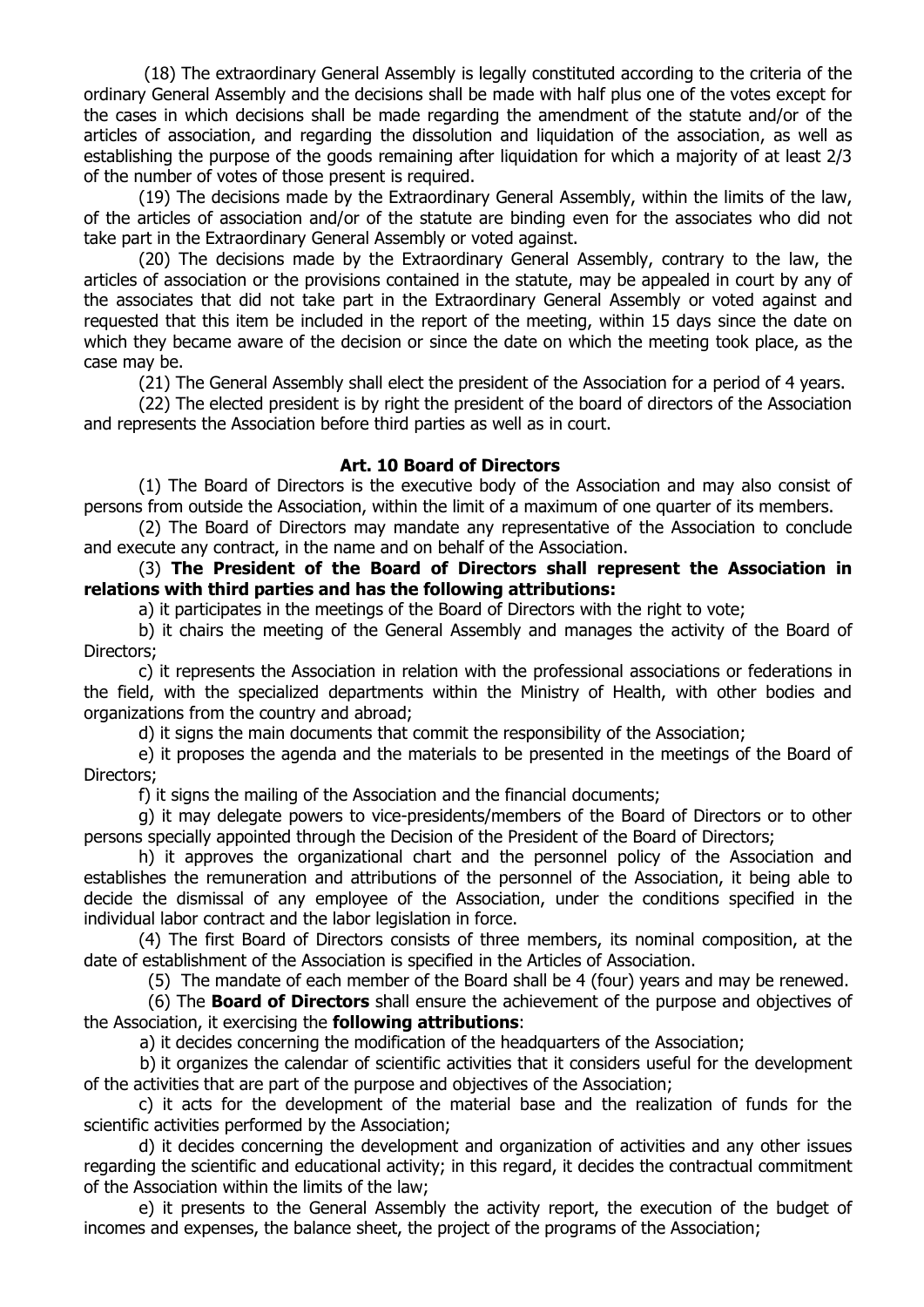(18) The extraordinary General Assembly is legally constituted according to the criteria of the ordinary General Assembly and the decisions shall be made with half plus one of the votes except for the cases in which decisions shall be made regarding the amendment of the statute and/or of the articles of association, and regarding the dissolution and liquidation of the association, as well as establishing the purpose of the goods remaining after liquidation for which a majority of at least 2/3 of the number of votes of those present is required.

(19) The decisions made by the Extraordinary General Assembly, within the limits of the law, of the articles of association and/or of the statute are binding even for the associates who did not take part in the Extraordinary General Assembly or voted against.

(20) The decisions made by the Extraordinary General Assembly, contrary to the law, the articles of association or the provisions contained in the statute, may be appealed in court by any of the associates that did not take part in the Extraordinary General Assembly or voted against and requested that this item be included in the report of the meeting, within 15 days since the date on which they became aware of the decision or since the date on which the meeting took place, as the case may be.

(21) The General Assembly shall elect the president of the Association for a period of 4 years.

(22) The elected president is by right the president of the board of directors of the Association and represents the Association before third parties as well as in court.

### **Art. 10 Board of Directors**

(1) The Board of Directors is the executive body of the Association and may also consist of persons from outside the Association, within the limit of a maximum of one quarter of its members.

 (2) The Board of Directors may mandate any representative of the Association to conclude and execute any contract, in the name and on behalf of the Association.

# (3) **The President of the Board of Directors shall represent the Association in relations with third parties and has the following attributions:**

a) it participates in the meetings of the Board of Directors with the right to vote;

b) it chairs the meeting of the General Assembly and manages the activity of the Board of Directors;

c) it represents the Association in relation with the professional associations or federations in the field, with the specialized departments within the Ministry of Health, with other bodies and organizations from the country and abroad;

d) it signs the main documents that commit the responsibility of the Association;

e) it proposes the agenda and the materials to be presented in the meetings of the Board of Directors;

f) it signs the mailing of the Association and the financial documents;

g) it may delegate powers to vice-presidents/members of the Board of Directors or to other persons specially appointed through the Decision of the President of the Board of Directors;

h) it approves the organizational chart and the personnel policy of the Association and establishes the remuneration and attributions of the personnel of the Association, it being able to decide the dismissal of any employee of the Association, under the conditions specified in the individual labor contract and the labor legislation in force.

(4) The first Board of Directors consists of three members, its nominal composition, at the date of establishment of the Association is specified in the Articles of Association.

(5) The mandate of each member of the Board shall be 4 (four) years and may be renewed.

 (6) The **Board of Directors** shall ensure the achievement of the purpose and objectives of the Association, it exercising the **following attributions**:

a) it decides concerning the modification of the headquarters of the Association;

b) it organizes the calendar of scientific activities that it considers useful for the development of the activities that are part of the purpose and objectives of the Association;

c) it acts for the development of the material base and the realization of funds for the scientific activities performed by the Association;

d) it decides concerning the development and organization of activities and any other issues regarding the scientific and educational activity; in this regard, it decides the contractual commitment of the Association within the limits of the law;

e) it presents to the General Assembly the activity report, the execution of the budget of incomes and expenses, the balance sheet, the project of the programs of the Association;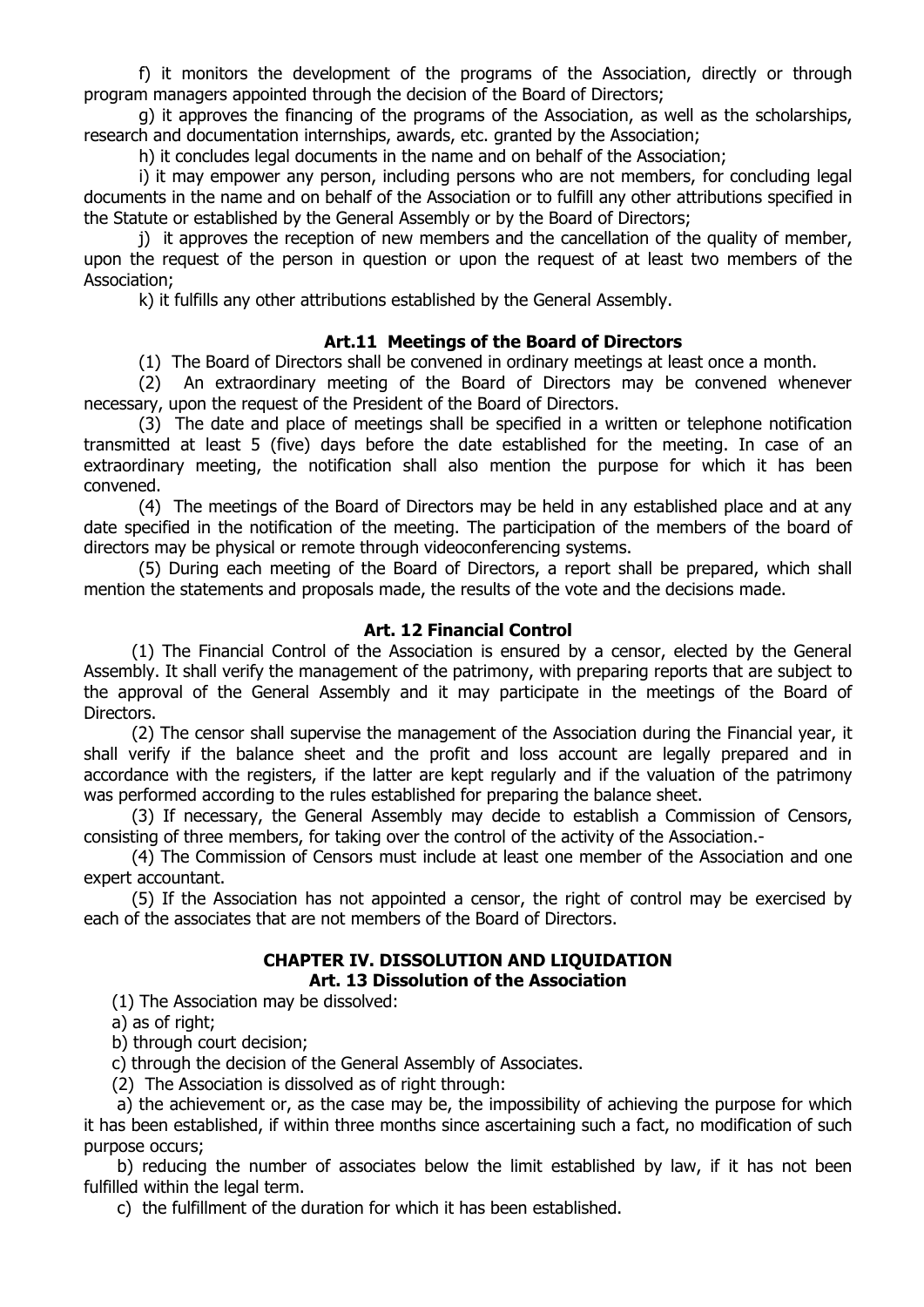f) it monitors the development of the programs of the Association, directly or through program managers appointed through the decision of the Board of Directors;

g) it approves the financing of the programs of the Association, as well as the scholarships, research and documentation internships, awards, etc. granted by the Association;

h) it concludes legal documents in the name and on behalf of the Association;

i) it may empower any person, including persons who are not members, for concluding legal documents in the name and on behalf of the Association or to fulfill any other attributions specified in the Statute or established by the General Assembly or by the Board of Directors;

i) it approves the reception of new members and the cancellation of the quality of member, upon the request of the person in question or upon the request of at least two members of the Association;

k) it fulfills any other attributions established by the General Assembly.

### **Art.11 Meetings of the Board of Directors**

(1) The Board of Directors shall be convened in ordinary meetings at least once a month.

(2) An extraordinary meeting of the Board of Directors may be convened whenever necessary, upon the request of the President of the Board of Directors.

(3) The date and place of meetings shall be specified in a written or telephone notification transmitted at least 5 (five) days before the date established for the meeting. In case of an extraordinary meeting, the notification shall also mention the purpose for which it has been convened.

(4) The meetings of the Board of Directors may be held in any established place and at any date specified in the notification of the meeting. The participation of the members of the board of directors may be physical or remote through videoconferencing systems.

(5) During each meeting of the Board of Directors, a report shall be prepared, which shall mention the statements and proposals made, the results of the vote and the decisions made.

#### **Art. 12 Financial Control**

(1) The Financial Control of the Association is ensured by a censor, elected by the General Assembly. It shall verify the management of the patrimony, with preparing reports that are subject to the approval of the General Assembly and it may participate in the meetings of the Board of Directors.

(2) The censor shall supervise the management of the Association during the Financial year, it shall verify if the balance sheet and the profit and loss account are legally prepared and in accordance with the registers, if the latter are kept regularly and if the valuation of the patrimony was performed according to the rules established for preparing the balance sheet.

(3) If necessary, the General Assembly may decide to establish a Commission of Censors, consisting of three members, for taking over the control of the activity of the Association.-

(4) The Commission of Censors must include at least one member of the Association and one expert accountant.

(5) If the Association has not appointed a censor, the right of control may be exercised by each of the associates that are not members of the Board of Directors.

### **CHAPTER IV. DISSOLUTION AND LIQUIDATION Art. 13 Dissolution of the Association**

(1) The Association may be dissolved:

a) as of right;

b) through court decision;

c) through the decision of the General Assembly of Associates.

(2) The Association is dissolved as of right through:

a) the achievement or, as the case may be, the impossibility of achieving the purpose for which it has been established, if within three months since ascertaining such a fact, no modification of such purpose occurs;

b) reducing the number of associates below the limit established by law, if it has not been fulfilled within the legal term.

c) the fulfillment of the duration for which it has been established.